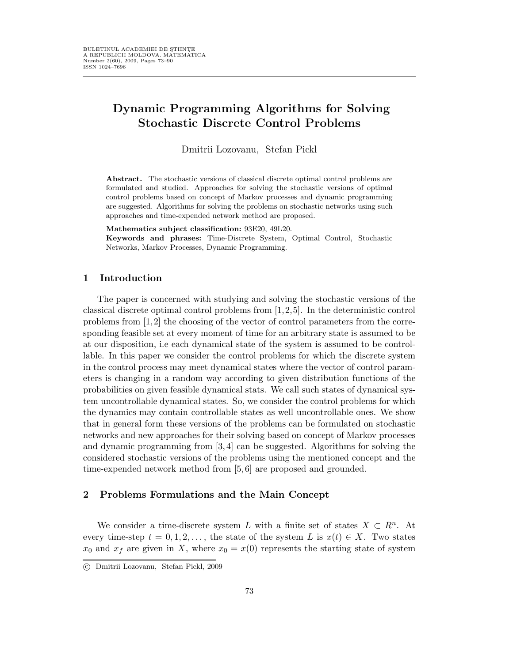# Dynamic Programming Algorithms for Solving Stochastic Discrete Control Problems

Dmitrii Lozovanu, Stefan Pickl

Abstract. The stochastic versions of classical discrete optimal control problems are formulated and studied. Approaches for solving the stochastic versions of optimal control problems based on concept of Markov processes and dynamic programming are suggested. Algorithms for solving the problems on stochastic networks using such approaches and time-expended network method are proposed.

Mathematics subject classification: 93E20, 49L20.

Keywords and phrases: Time-Discrete System, Optimal Control, Stochastic Networks, Markov Processes, Dynamic Programming.

### 1 Introduction

The paper is concerned with studying and solving the stochastic versions of the classical discrete optimal control problems from [1,2,5]. In the deterministic control problems from [1,2] the choosing of the vector of control parameters from the corresponding feasible set at every moment of time for an arbitrary state is assumed to be at our disposition, i.e each dynamical state of the system is assumed to be controllable. In this paper we consider the control problems for which the discrete system in the control process may meet dynamical states where the vector of control parameters is changing in a random way according to given distribution functions of the probabilities on given feasible dynamical stats. We call such states of dynamical system uncontrollable dynamical states. So, we consider the control problems for which the dynamics may contain controllable states as well uncontrollable ones. We show that in general form these versions of the problems can be formulated on stochastic networks and new approaches for their solving based on concept of Markov processes and dynamic programming from [3, 4] can be suggested. Algorithms for solving the considered stochastic versions of the problems using the mentioned concept and the time-expended network method from [5, 6] are proposed and grounded.

### 2 Problems Formulations and the Main Concept

We consider a time-discrete system L with a finite set of states  $X \subset R^n$ . At every time-step  $t = 0, 1, 2, \ldots$ , the state of the system L is  $x(t) \in X$ . Two states  $x_0$  and  $x_f$  are given in X, where  $x_0 = x(0)$  represents the starting state of system

c Dmitrii Lozovanu, Stefan Pickl, 2009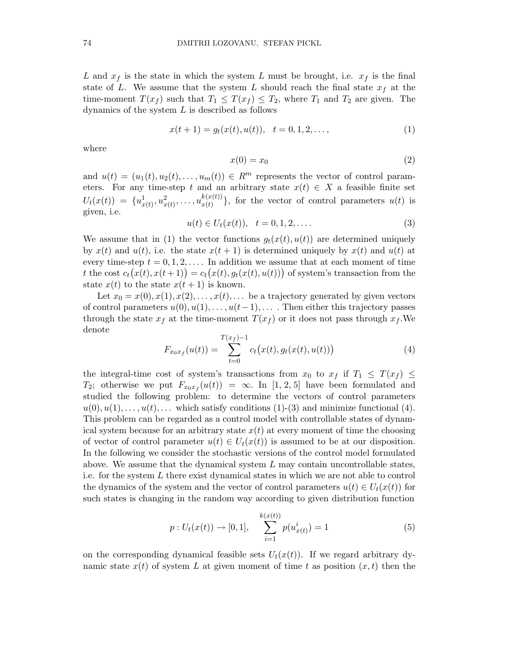L and  $x<sub>f</sub>$  is the state in which the system L must be brought, i.e.  $x<sub>f</sub>$  is the final state of L. We assume that the system L should reach the final state  $x_f$  at the time-moment  $T(x_f)$  such that  $T_1 \leq T(x_f) \leq T_2$ , where  $T_1$  and  $T_2$  are given. The dynamics of the system  $L$  is described as follows

$$
x(t+1) = g_t(x(t), u(t)), \quad t = 0, 1, 2, \dots,
$$
\n(1)

where

$$
x(0) = x_0 \tag{2}
$$

and  $u(t) = (u_1(t), u_2(t), \dots, u_m(t)) \in R^m$  represents the vector of control parameters. For any time-step t and an arbitrary state  $x(t) \in X$  a feasible finite set  $U_t(x(t)) = \{u_{x(t)}^1, u_{x(t)}^2, \ldots, u_{x(t)}^{k(x(t))}\}$  $\begin{bmatrix} x(t) \\ x(t) \end{bmatrix}$ , for the vector of control parameters  $u(t)$  is given, i.e.

$$
u(t) \in U_t(x(t)), \quad t = 0, 1, 2, \dots
$$
\n(3)

We assume that in (1) the vector functions  $g_t(x(t), u(t))$  are determined uniquely by  $x(t)$  and  $u(t)$ , i.e. the state  $x(t + 1)$  is determined uniquely by  $x(t)$  and  $u(t)$  at every time-step  $t = 0, 1, 2, \ldots$ . In addition we assume that at each moment of time t the cost  $c_t(x(t), x(t+1)) = c_t(x(t), g_t(x(t), u(t)))$  of system's transaction from the state  $x(t)$  to the state  $x(t + 1)$  is known.

Let  $x_0 = x(0), x(1), x(2), \ldots, x(t), \ldots$  be a trajectory generated by given vectors of control parameters  $u(0), u(1), \ldots, u(t-1), \ldots$ . Then either this trajectory passes through the state  $x_f$  at the time-moment  $T(x_f)$  or it does not pass through  $x_f$ . We denote

$$
F_{x_0x_f}(u(t)) = \sum_{t=0}^{T(x_f)-1} c_t(x(t), g_t(x(t), u(t)))
$$
\n(4)

the integral-time cost of system's transactions from  $x_0$  to  $x_f$  if  $T_1 \leq T(x_f) \leq$  $T_2$ ; otherwise we put  $F_{x_0x_f}(u(t)) = \infty$ . In [1, 2, 5] have been formulated and studied the following problem: to determine the vectors of control parameters  $u(0), u(1), \ldots, u(t), \ldots$  which satisfy conditions  $(1)$ - $(3)$  and minimize functional  $(4)$ . This problem can be regarded as a control model with controllable states of dynamical system because for an arbitrary state  $x(t)$  at every moment of time the choosing of vector of control parameter  $u(t) \in U_t(x(t))$  is assumed to be at our disposition. In the following we consider the stochastic versions of the control model formulated above. We assume that the dynamical system  $L$  may contain uncontrollable states, i.e. for the system  $L$  there exist dynamical states in which we are not able to control the dynamics of the system and the vector of control parameters  $u(t) \in U_t(x(t))$  for such states is changing in the random way according to given distribution function

$$
p: U_t(x(t)) \to [0, 1], \quad \sum_{i=1}^{k(x(t))} p(u_{x(t)}^i) = 1 \tag{5}
$$

on the corresponding dynamical feasible sets  $U_t(x(t))$ . If we regard arbitrary dynamic state  $x(t)$  of system L at given moment of time t as position  $(x, t)$  then the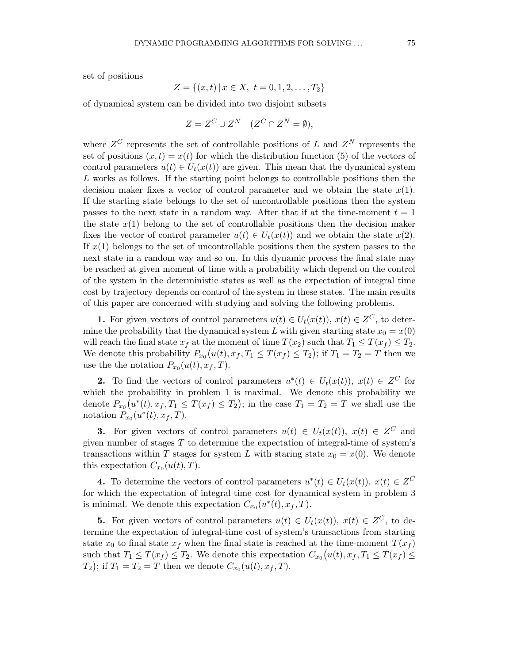$$
Z = \{(x, t) \mid x \in X, \ t = 0, 1, 2, \dots, T_2\}
$$

of dynamical system can be divided into two disjoint subsets

$$
Z = Z^C \cup Z^N \quad (Z^C \cap Z^N = \emptyset),
$$

where  $Z^C$  represents the set of controllable positions of L and  $Z^N$  represents the set of positions  $(x, t) = x(t)$  for which the distribution function (5) of the vectors of control parameters  $u(t) \in U_t(x(t))$  are given. This mean that the dynamical system L works as follows. If the starting point belongs to controllable positions then the decision maker fixes a vector of control parameter and we obtain the state  $x(1)$ . If the starting state belongs to the set of uncontrollable positions then the system passes to the next state in a random way. After that if at the time-moment  $t = 1$ the state  $x(1)$  belong to the set of controllable positions then the decision maker fixes the vector of control parameter  $u(t) \in U_t(x(t))$  and we obtain the state  $x(2)$ . If  $x(1)$  belongs to the set of uncontrollable positions then the system passes to the next state in a random way and so on. In this dynamic process the final state may be reached at given moment of time with a probability which depend on the control of the system in the deterministic states as well as the expectation of integral time cost by trajectory depends on control of the system in these states. The main results of this paper are concerned with studying and solving the following problems.

**1.** For given vectors of control parameters  $u(t) \in U_t(x(t))$ ,  $x(t) \in Z^C$ , to determine the probability that the dynamical system L with given starting state  $x_0 = x(0)$ will reach the final state  $x_f$  at the moment of time  $T(x_2)$  such that  $T_1 \leq T(x_f) \leq T_2$ . We denote this probability  $P_{x_0}(u(t), x_f, T_1 \le T(x_f) \le T_2$ ; if  $T_1 = T_2 = T$  then we use the the notation  $P_{x_0}(u(t), x_f, T)$ .

**2.** To find the vectors of control parameters  $u^*(t) \in U_t(x(t)), x(t) \in Z^C$  for which the probability in problem 1 is maximal. We denote this probability we denote  $P_{x_0}(u^*(t), x_f, T_1 \leq T(x_f) \leq T_2)$ ; in the case  $T_1 = T_2 = T$  we shall use the notation  $P_{x_0}(u^*(t), x_f, T)$ .

**3.** For given vectors of control parameters  $u(t) \in U_t(x(t))$ ,  $x(t) \in Z^C$  and given number of stages  $T$  to determine the expectation of integral-time of system's transactions within T stages for system L with staring state  $x_0 = x(0)$ . We denote this expectation  $C_{x_0}(u(t),T)$ .

4. To determine the vectors of control parameters  $u^*(t) \in U_t(x(t)), x(t) \in Z^C$ for which the expectation of integral-time cost for dynamical system in problem 3 is minimal. We denote this expectation  $C_{x_0}(u^*(t), x_f, T)$ .

**5.** For given vectors of control parameters  $u(t) \in U_t(x(t))$ ,  $x(t) \in Z^C$ , to determine the expectation of integral-time cost of system's transactions from starting state  $x_0$  to final state  $x_f$  when the final state is reached at the time-moment  $T(x_f)$ such that  $T_1 \leq T(x_f) \leq T_2$ . We denote this expectation  $C_{x_0}(u(t), x_f, T_1 \leq T(x_f) \leq T(x_f)$  $(T_2)$ ; if  $T_1 = T_2 = T$  then we denote  $C_{x_0}(u(t), x_f, T)$ .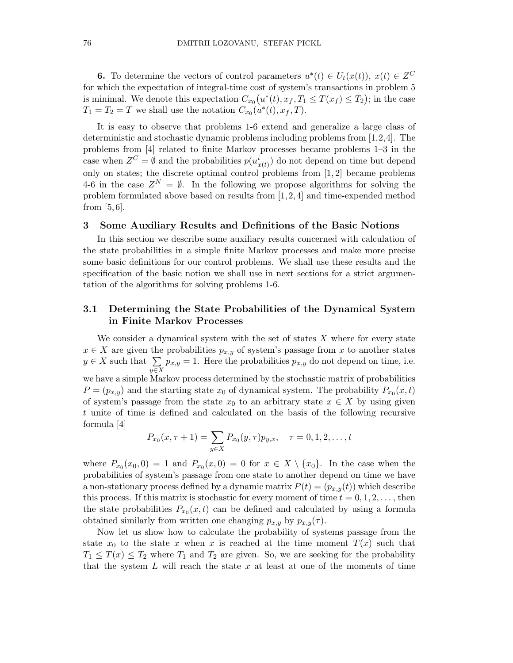**6.** To determine the vectors of control parameters  $u^*(t) \in U_t(x(t)), x(t) \in Z^C$ for which the expectation of integral-time cost of system's transactions in problem 5 is minimal. We denote this expectation  $C_{x_0}(u^*(t), x_f, T_1 \le T(x_f) \le T_2)$ ; in the case  $T_1 = T_2 = T$  we shall use the notation  $C_{x_0}(u^*(t), x_f, T)$ .

It is easy to observe that problems 1-6 extend and generalize a large class of deterministic and stochastic dynamic problems including problems from [1,2,4]. The problems from [4] related to finite Markov processes became problems 1–3 in the case when  $Z^C = \emptyset$  and the probabilities  $p(u_{x(t)}^i)$  do not depend on time but depend only on states; the discrete optimal control problems from [1, 2] became problems 4-6 in the case  $Z^N = \emptyset$ . In the following we propose algorithms for solving the problem formulated above based on results from  $[1, 2, 4]$  and time-expended method from  $[5, 6]$ .

### 3 Some Auxiliary Results and Definitions of the Basic Notions

In this section we describe some auxiliary results concerned with calculation of the state probabilities in a simple finite Markov processes and make more precise some basic definitions for our control problems. We shall use these results and the specification of the basic notion we shall use in next sections for a strict argumentation of the algorithms for solving problems 1-6.

### 3.1 Determining the State Probabilities of the Dynamical System in Finite Markov Processes

We consider a dynamical system with the set of states  $X$  where for every state  $x \in X$  are given the probabilities  $p_{x,y}$  of system's passage from x to another states  $y \in X$  such that  $\sum$ y∈X  $p_{x,y} = 1$ . Here the probabilities  $p_{x,y}$  do not depend on time, i.e. we have a simple Markov process determined by the stochastic matrix of probabilities  $P = (p_{x,y})$  and the starting state  $x_0$  of dynamical system. The probability  $P_{x_0}(x,t)$ of system's passage from the state  $x_0$  to an arbitrary state  $x \in X$  by using given t unite of time is defined and calculated on the basis of the following recursive formula [4]

$$
P_{x_0}(x, \tau + 1) = \sum_{y \in X} P_{x_0}(y, \tau) p_{y,x}, \quad \tau = 0, 1, 2, \dots, t
$$

where  $P_{x_0}(x_0,0) = 1$  and  $P_{x_0}(x,0) = 0$  for  $x \in X \setminus \{x_0\}$ . In the case when the probabilities of system's passage from one state to another depend on time we have a non-stationary process defined by a dynamic matrix  $P(t) = (p_{x,y}(t))$  which describe this process. If this matrix is stochastic for every moment of time  $t = 0, 1, 2, \ldots$ , then the state probabilities  $P_{x_0}(x,t)$  can be defined and calculated by using a formula obtained similarly from written one changing  $p_{x,y}$  by  $p_{x,y}(\tau)$ .

Now let us show how to calculate the probability of systems passage from the state  $x_0$  to the state x when x is reached at the time moment  $T(x)$  such that  $T_1 \leq T(x) \leq T_2$  where  $T_1$  and  $T_2$  are given. So, we are seeking for the probability that the system  $L$  will reach the state  $x$  at least at one of the moments of time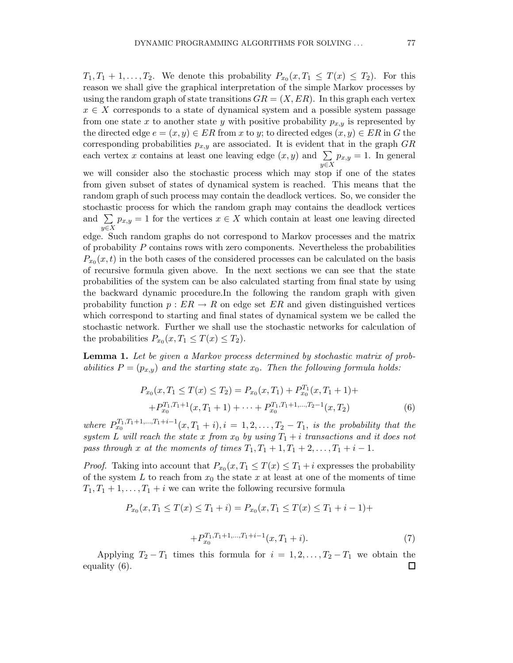$T_1, T_1 + 1, \ldots, T_2$ . We denote this probability  $P_{x_0}(x, T_1 \leq T(x) \leq T_2)$ . For this reason we shall give the graphical interpretation of the simple Markov processes by using the random graph of state transitions  $GR = (X, ER)$ . In this graph each vertex  $x \in X$  corresponds to a state of dynamical system and a possible system passage from one state x to another state y with positive probability  $p_{x,y}$  is represented by the directed edge  $e = (x, y) \in ER$  from x to y; to directed edges  $(x, y) \in ER$  in G the corresponding probabilities  $p_{x,y}$  are associated. It is evident that in the graph  $GR$ each vertex x contains at least one leaving edge  $(x, y)$  and  $\Sigma$ y∈X  $p_{x,y} = 1$ . In general

we will consider also the stochastic process which may stop if one of the states from given subset of states of dynamical system is reached. This means that the random graph of such process may contain the deadlock vertices. So, we consider the stochastic process for which the random graph may contains the deadlock vertices and  $\Sigma$ y∈X  $p_{x,y} = 1$  for the vertices  $x \in X$  which contain at least one leaving directed edge. Such random graphs do not correspond to Markov processes and the matrix of probability  $P$  contains rows with zero components. Nevertheless the probabilities  $P_{x_0}(x,t)$  in the both cases of the considered processes can be calculated on the basis of recursive formula given above. In the next sections we can see that the state probabilities of the system can be also calculated starting from final state by using the backward dynamic procedure.In the following the random graph with given probability function  $p : ER \to R$  on edge set ER and given distinguished vertices which correspond to starting and final states of dynamical system we be called the stochastic network. Further we shall use the stochastic networks for calculation of the probabilities  $P_{x_0}(x,T_1 \leq T(x) \leq T_2)$ .

Lemma 1. Let be given a Markov process determined by stochastic matrix of probabilities  $P = (p_{x,y})$  and the starting state  $x_0$ . Then the following formula holds:

$$
P_{x_0}(x, T_1 \le T(x) \le T_2) = P_{x_0}(x, T_1) + P_{x_0}^{T_1}(x, T_1 + 1) +
$$
  
+ 
$$
P_{x_0}^{T_1, T_1 + 1}(x, T_1 + 1) + \dots + P_{x_0}^{T_1, T_1 + 1, \dots, T_2 - 1}(x, T_2)
$$
(6)

where  $P_{x_0}^{T_1,T_1+1,\ldots,T_1+i-1}(x,T_1+i), i = 1,2,\ldots,T_2-T_1$ , is the probability that the system L will reach the state x from  $x_0$  by using  $T_1 + i$  transactions and it does not pass through x at the moments of times  $T_1, T_1 + 1, T_1 + 2, \ldots, T_1 + i - 1$ .

*Proof.* Taking into account that  $P_{x_0}(x,T_1 \leq T(x) \leq T_1 + i$  expresses the probability of the system L to reach from  $x_0$  the state x at least at one of the moments of time  $T_1, T_1 + 1, \ldots, T_1 + i$  we can write the following recursive formula

$$
P_{x_0}(x, T_1 \le T(x) \le T_1 + i) = P_{x_0}(x, T_1 \le T(x) \le T_1 + i - 1) +
$$

$$
+P_{x_0}^{T_1,T_1+1,\ldots,T_1+i-1}(x,T_1+i). \tag{7}
$$

Applying  $T_2 - T_1$  times this formula for  $i = 1, 2, ..., T_2 - T_1$  we obtain the equality (6). $\Box$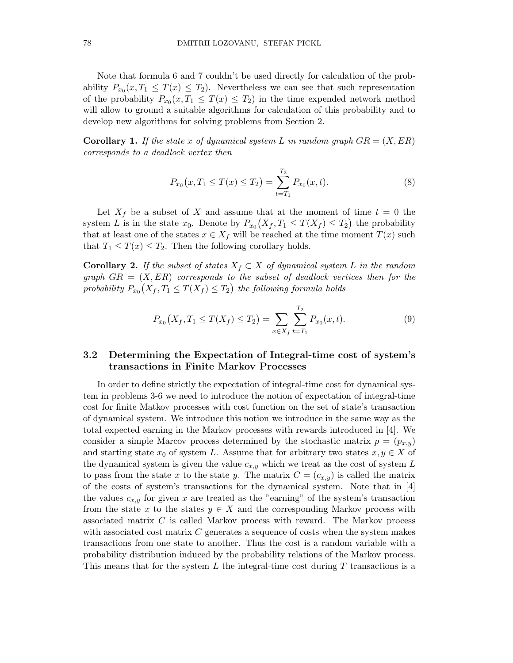Note that formula 6 and 7 couldn't be used directly for calculation of the probability  $P_{x_0}(x,T_1 \leq T(x) \leq T_2)$ . Nevertheless we can see that such representation of the probability  $P_{x_0}(x,T_1 \leq T(x) \leq T_2)$  in the time expended network method will allow to ground a suitable algorithms for calculation of this probability and to develop new algorithms for solving problems from Section 2.

**Corollary 1.** If the state x of dynamical system L in random graph  $GR = (X, ER)$ corresponds to a deadlock vertex then

$$
P_{x_0}(x, T_1 \le T(x) \le T_2) = \sum_{t=T_1}^{T_2} P_{x_0}(x, t).
$$
\n(8)

Let  $X_f$  be a subset of X and assume that at the moment of time  $t = 0$  the system L is in the state  $x_0$ . Denote by  $P_{x_0}(X_f, T_1 \leq T(X_f) \leq T_2)$  the probability that at least one of the states  $x \in X_f$  will be reached at the time moment  $T(x)$  such that  $T_1 \leq T(x) \leq T_2$ . Then the following corollary holds.

**Corollary 2.** If the subset of states  $X_f \subset X$  of dynamical system L in the random graph  $GR = (X, ER)$  corresponds to the subset of deadlock vertices then for the probability  $P_{x_0}(X_f,T_1 \leq T(X_f) \leq T_2)$  the following formula holds

$$
P_{x_0}(X_f, T_1 \le T(X_f) \le T_2) = \sum_{x \in X_f} \sum_{t=T_1}^{T_2} P_{x_0}(x, t).
$$
\n(9)

# 3.2 Determining the Expectation of Integral-time cost of system's transactions in Finite Markov Processes

In order to define strictly the expectation of integral-time cost for dynamical system in problems 3-6 we need to introduce the notion of expectation of integral-time cost for finite Matkov processes with cost function on the set of state's transaction of dynamical system. We introduce this notion we introduce in the same way as the total expected earning in the Markov processes with rewards introduced in [4]. We consider a simple Marcov process determined by the stochastic matrix  $p = (p_{x,y})$ and starting state  $x_0$  of system L. Assume that for arbitrary two states  $x, y \in X$  of the dynamical system is given the value  $c_{x,y}$  which we treat as the cost of system L to pass from the state x to the state y. The matrix  $C = (c_{x,y})$  is called the matrix of the costs of system's transactions for the dynamical system. Note that in [4] the values  $c_{x,y}$  for given x are treated as the "earning" of the system's transaction from the state x to the states  $y \in X$  and the corresponding Markov process with associated matrix C is called Markov process with reward. The Markov process with associated cost matrix C generates a sequence of costs when the system makes transactions from one state to another. Thus the cost is a random variable with a probability distribution induced by the probability relations of the Markov process. This means that for the system  $L$  the integral-time cost during  $T$  transactions is a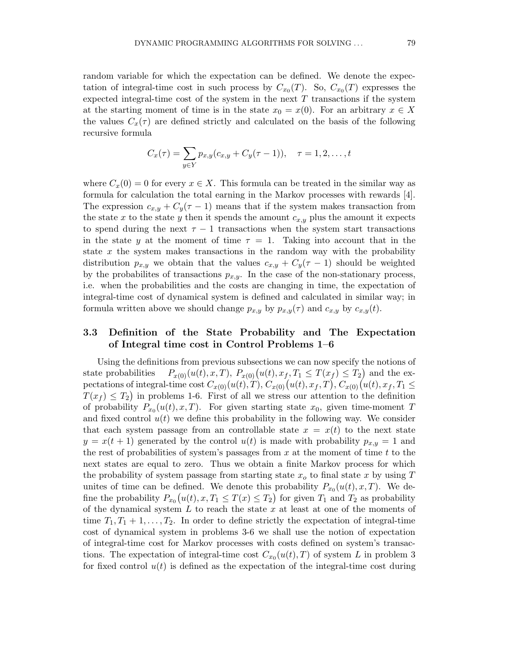random variable for which the expectation can be defined. We denote the expectation of integral-time cost in such process by  $C_{x_0}(T)$ . So,  $C_{x_0}(T)$  expresses the expected integral-time cost of the system in the next  $T$  transactions if the system at the starting moment of time is in the state  $x_0 = x(0)$ . For an arbitrary  $x \in X$ the values  $C_x(\tau)$  are defined strictly and calculated on the basis of the following recursive formula

$$
C_x(\tau) = \sum_{y \in Y} p_{x,y}(c_{x,y} + C_y(\tau - 1)), \quad \tau = 1, 2, \dots, t
$$

where  $C_x(0) = 0$  for every  $x \in X$ . This formula can be treated in the similar way as formula for calculation the total earning in the Markov processes with rewards [4]. The expression  $c_{x,y} + C_y(\tau - 1)$  means that if the system makes transaction from the state x to the state y then it spends the amount  $c_{x,y}$  plus the amount it expects to spend during the next  $\tau - 1$  transactions when the system start transactions in the state y at the moment of time  $\tau = 1$ . Taking into account that in the state x the system makes transactions in the random way with the probability distribution  $p_{x,y}$  we obtain that the values  $c_{x,y} + C_y(\tau - 1)$  should be weighted by the probabilites of transactions  $p_{x,y}$ . In the case of the non-stationary process, i.e. when the probabilities and the costs are changing in time, the expectation of integral-time cost of dynamical system is defined and calculated in similar way; in formula written above we should change  $p_{x,y}$  by  $p_{x,y}(\tau)$  and  $c_{x,y}$  by  $c_{x,y}(t)$ .

# 3.3 Definition of the State Probability and The Expectation of Integral time cost in Control Problems 1–6

Using the definitions from previous subsections we can now specify the notions of state probabilities  $P_{x(0)}(u(t), x, T)$ ,  $P_{x(0)}(u(t), x_f, T_1 \leq T(x_f) \leq T_2)$  and the expectations of integral-time cost  $C_{x(0)}(u(t),T)$ ,  $C_{x(0)}(u(t),x_f,T)$ ,  $C_{x(0)}(u(t),x_f,T_1 \leq$  $T(x_f) \leq T_2$ ) in problems 1-6. First of all we stress our attention to the definition of probability  $P_{x_0}(u(t), x, T)$ . For given starting state  $x_0$ , given time-moment T and fixed control  $u(t)$  we define this probability in the following way. We consider that each system passage from an controllable state  $x = x(t)$  to the next state  $y = x(t + 1)$  generated by the control  $u(t)$  is made with probability  $p_{x,y} = 1$  and the rest of probabilities of system's passages from  $x$  at the moment of time  $t$  to the next states are equal to zero. Thus we obtain a finite Markov process for which the probability of system passage from starting state  $x<sub>o</sub>$  to final state x by using T unites of time can be defined. We denote this probability  $P_{x_0}(u(t), x, T)$ . We define the probability  $P_{x_0}(u(t), x, T_1 \le T(x) \le T_2)$  for given  $T_1$  and  $T_2$  as probability of the dynamical system  $L$  to reach the state  $x$  at least at one of the moments of time  $T_1, T_1 + 1, \ldots, T_2$ . In order to define strictly the expectation of integral-time cost of dynamical system in problems 3-6 we shall use the notion of expectation of integral-time cost for Markov processes with costs defined on system's transactions. The expectation of integral-time cost  $C_{x_0}(u(t),T)$  of system L in problem 3 for fixed control  $u(t)$  is defined as the expectation of the integral-time cost during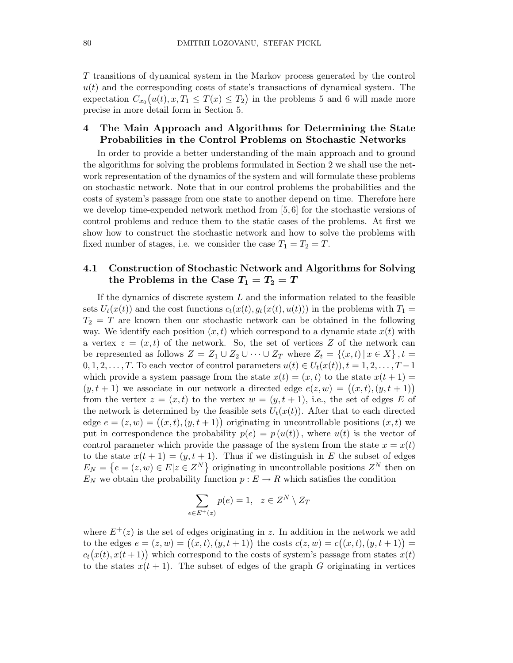T transitions of dynamical system in the Markov process generated by the control  $u(t)$  and the corresponding costs of state's transactions of dynamical system. The expectation  $C_{x_0}(u(t), x, T_1 \leq T(x) \leq T_2)$  in the problems 5 and 6 will made more precise in more detail form in Section 5.

# 4 The Main Approach and Algorithms for Determining the State Probabilities in the Control Problems on Stochastic Networks

In order to provide a better understanding of the main approach and to ground the algorithms for solving the problems formulated in Section 2 we shall use the network representation of the dynamics of the system and will formulate these problems on stochastic network. Note that in our control problems the probabilities and the costs of system's passage from one state to another depend on time. Therefore here we develop time-expended network method from [5, 6] for the stochastic versions of control problems and reduce them to the static cases of the problems. At first we show how to construct the stochastic network and how to solve the problems with fixed number of stages, i.e. we consider the case  $T_1 = T_2 = T$ .

# 4.1 Construction of Stochastic Network and Algorithms for Solving the Problems in the Case  $T_1 = T_2 = T$

If the dynamics of discrete system  $L$  and the information related to the feasible sets  $U_t(x(t))$  and the cost functions  $c_t(x(t), y_t(x(t), u(t)))$  in the problems with  $T_1 =$  $T_2 = T$  are known then our stochastic network can be obtained in the following way. We identify each position  $(x, t)$  which correspond to a dynamic state  $x(t)$  with a vertex  $z = (x, t)$  of the network. So, the set of vertices Z of the network can be represented as follows  $Z = Z_1 \cup Z_2 \cup \cdots \cup Z_T$  where  $Z_t = \{(x, t) | x \in X\}, t =$  $0, 1, 2, \ldots, T$ . To each vector of control parameters  $u(t) \in U_t(x(t))$ ,  $t = 1, 2, \ldots, T-1$ which provide a system passage from the state  $x(t) = (x, t)$  to the state  $x(t + 1) =$  $(y, t + 1)$  we associate in our network a directed edge  $e(z, w) = ((x, t), (y, t + 1))$ from the vertex  $z = (x, t)$  to the vertex  $w = (y, t + 1)$ , i.e., the set of edges E of the network is determined by the feasible sets  $U_t(x(t))$ . After that to each directed edge  $e = (z, w) = ((x, t), (y, t + 1))$  originating in uncontrollable positions  $(x, t)$  we put in correspondence the probability  $p(e) = p(u(t))$ , where  $u(t)$  is the vector of control parameter which provide the passage of the system from the state  $x = x(t)$ to the state  $x(t + 1) = (y, t + 1)$ . Thus if we distinguish in E the subset of edges  $E_N = \{e = (z, w) \in E | z \in Z^N\}$  originating in uncontrollable positions  $Z^N$  then on  $E_N$  we obtain the probability function  $p : E \to R$  which satisfies the condition

$$
\sum_{e \in E^+(z)} p(e) = 1, \ z \in Z^N \setminus Z_T
$$

where  $E^+(z)$  is the set of edges originating in z. In addition in the network we add to the edges  $e = (z, w) = ((x, t), (y, t + 1))$  the costs  $c(z, w) = c((x, t), (y, t + 1))$  $c_t(x(t), x(t+1))$  which correspond to the costs of system's passage from states  $x(t)$ to the states  $x(t + 1)$ . The subset of edges of the graph G originating in vertices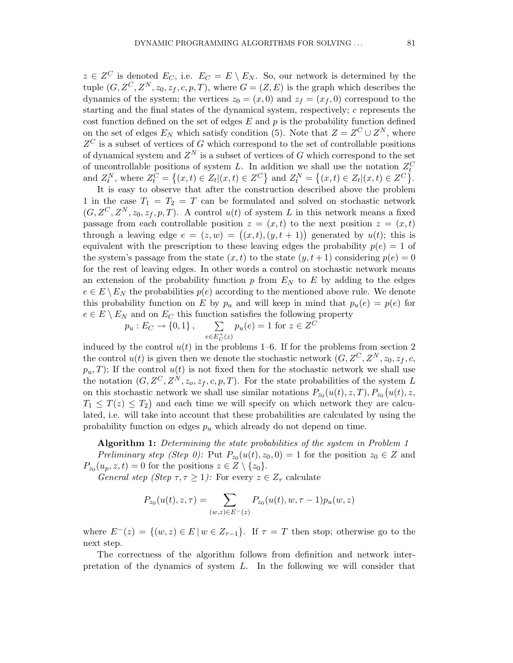$z \in Z^C$  is denoted  $E_C$ , i.e.  $E_C = E \setminus E_N$ . So, our network is determined by the tuple  $(G, Z^C, Z^N, z_0, z_f, c, p, T)$ , where  $G = (Z, E)$  is the graph which describes the dynamics of the system; the vertices  $z_0 = (x, 0)$  and  $z_f = (x_f, 0)$  correspond to the starting and the final states of the dynamical system, respectively; c represents the cost function defined on the set of edges  $E$  and  $p$  is the probability function defined on the set of edges  $E_N$  which satisfy condition (5). Note that  $Z = Z^C \cup Z^N$ , where  $Z^C$  is a subset of vertices of G which correspond to the set of controllable positions of dynamical system and  $Z^N$  is a subset of vertices of G which correspond to the set of uncontrollable positions of system L. In addition we shall use the notation  $Z_t^C$ and  $Z_t^N$ , where  $Z_t^C = \{(x, t) \in Z_t | (x, t) \in Z^C \}$  and  $Z_t^N = \{(x, t) \in Z_t | (x, t) \in Z^C \}$ .

It is easy to observe that after the construction described above the problem 1 in the case  $T_1 = T_2 = T$  can be formulated and solved on stochastic network  $(G, Z^C, Z^N, z_0, z_f, p, T)$ . A control  $u(t)$  of system L in this network means a fixed passage from each controllable position  $z = (x, t)$  to the next position  $z = (x, t)$ through a leaving edge  $e = (z, w) = ((x, t), (y, t + 1))$  generated by  $u(t)$ ; this is equivalent with the prescription to these leaving edges the probability  $p(e) = 1$  of the system's passage from the state  $(x, t)$  to the state  $(y, t + 1)$  considering  $p(e) = 0$ for the rest of leaving edges. In other words a control on stochastic network means an extension of the probability function p from  $E<sub>N</sub>$  to E by adding to the edges  $e \in E \setminus E_N$  the probabilities  $p(e)$  according to the mentioned above rule. We denote this probability function on E by  $p_u$  and will keep in mind that  $p_u(e) = p(e)$  for  $e \in E \setminus E_N$  and on  $E_C$  this function satisfies the following property

$$
p_u : E_C \to \{0, 1\},
$$
  $\sum_{e \in E_C^+(z)} p_u(e) = 1$  for  $z \in Z^C$ 

induced by the control  $u(t)$  in the problems 1–6. If for the problems from section 2 the control  $u(t)$  is given then we denote the stochastic network  $(G, Z^C, Z^N, z_0, z_f, c,$  $p_u, T$ ; If the control  $u(t)$  is not fixed then for the stochastic network we shall use the notation  $(G, Z^C, Z^N, z_o, z_f, c, p, T)$ . For the state probabilities of the system L on this stochastic network we shall use similar notations  $P_{z_0}(u(t), z, T)$ ,  $P_{z_0}(u(t), z, z)$  $T_1 \leq T(z) \leq T_2$  and each time we will specify on which network they are calculated, i.e. will take into account that these probabilities are calculated by using the probability function on edges  $p_u$  which already do not depend on time.

Algorithm 1: Determining the state probabilities of the system in Problem 1 Preliminary step (Step 0): Put  $P_{z_0}(u(t), z_0, 0) = 1$  for the position  $z_0 \in Z$  and  $P_{z_0}(u_p, z, t) = 0$  for the positions  $z \in Z \setminus \{z_0\}.$ 

General step (Step  $\tau, \tau \geq 1$ ): For every  $z \in Z_{\tau}$  calculate

$$
P_{z_0}(u(t), z, \tau) = \sum_{(w,z) \in E^-(z)} P_{z_0}(u(t), w, \tau - 1) p_u(w, z)
$$

where  $E^{-}(z) = \{(w, z) \in E \mid w \in Z_{\tau-1}\}.$  If  $\tau = T$  then stop; otherwise go to the next step.

The correctness of the algorithm follows from definition and network interpretation of the dynamics of system L. In the following we will consider that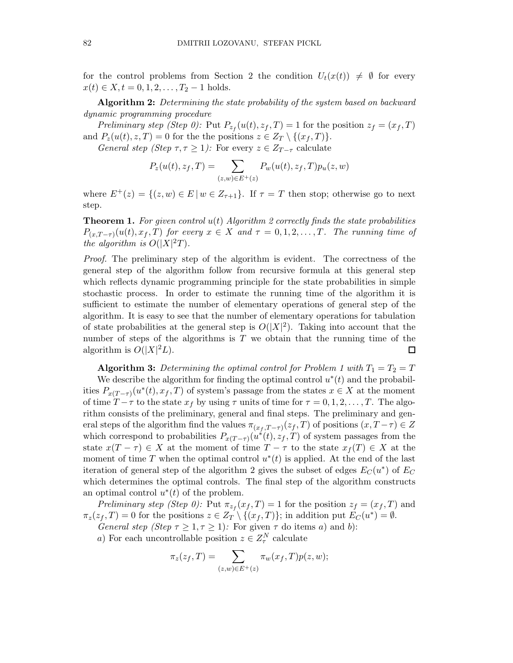for the control problems from Section 2 the condition  $U_t(x(t)) \neq \emptyset$  for every  $x(t) \in X, t = 0, 1, 2, \ldots, T_2 - 1$  holds.

Algorithm 2: Determining the state probability of the system based on backward dynamic programming procedure

Preliminary step (Step 0): Put  $P_{z_f}(u(t), z_f, T) = 1$  for the position  $z_f = (x_f, T)$ and  $P_z(u(t), z, T) = 0$  for the the positions  $z \in Z_T \setminus \{(x_f, T)\}.$ General step (Step  $\tau, \tau \geq 1$ ): For every  $z \in Z_{T-\tau}$  calculate

$$
P_z(u(t), z_f, T) = \sum_{(z,w)\in E^+(z)} P_w(u(t), z_f, T) p_u(z, w)
$$

where  $E^+(z) = \{(z, w) \in E \mid w \in Z_{\tau+1}\}.$  If  $\tau = T$  then stop; otherwise go to next step.

**Theorem 1.** For given control  $u(t)$  Algorithm 2 correctly finds the state probabilities  $P_{(x,T-\tau)}(u(t),x_f,T)$  for every  $x \in X$  and  $\tau = 0,1,2,\ldots,T$ . The running time of the algorithm is  $O(|X|^2T)$ .

Proof. The preliminary step of the algorithm is evident. The correctness of the general step of the algorithm follow from recursive formula at this general step which reflects dynamic programming principle for the state probabilities in simple stochastic process. In order to estimate the running time of the algorithm it is sufficient to estimate the number of elementary operations of general step of the algorithm. It is easy to see that the number of elementary operations for tabulation of state probabilities at the general step is  $O(|X|^2)$ . Taking into account that the number of steps of the algorithms is  $T$  we obtain that the running time of the algorithm is  $O(|X|^2L)$ .  $\Box$ 

**Algorithm 3:** Determining the optimal control for Problem 1 with  $T_1 = T_2 = T$ 

We describe the algorithm for finding the optimal control  $u^*(t)$  and the probabilities  $P_{x(T-\tau)}(u^*(t), x_f, T)$  of system's passage from the states  $x \in X$  at the moment of time  $T - \tau$  to the state  $x_f$  by using  $\tau$  units of time for  $\tau = 0, 1, 2, \ldots, T$ . The algorithm consists of the preliminary, general and final steps. The preliminary and general steps of the algorithm find the values  $\pi_{(x_f, T-\tau)}(z_f, T)$  of positions  $(x, T-\tau) \in Z$ which correspond to probabilities  $P_{x(T-\tau)}(u^*(t), z_f, T)$  of system passages from the state  $x(T - \tau) \in X$  at the moment of time  $T - \tau$  to the state  $x_f(T) \in X$  at the moment of time T when the optimal control  $u^*(t)$  is applied. At the end of the last iteration of general step of the algorithm 2 gives the subset of edges  $E_C(u^*)$  of  $E_C$ which determines the optimal controls. The final step of the algorithm constructs an optimal control  $u^*(t)$  of the problem.

Preliminary step (Step 0): Put  $\pi_{z_f}(x_f,T) = 1$  for the position  $z_f = (x_f,T)$  and  $\pi_z(z_f, T) = 0$  for the positions  $z \in Z_T \setminus \{(x_f, T)\}$ ; in addition put  $E_C(u^*) = \emptyset$ .

General step (Step  $\tau \geq 1, \tau \geq 1$ ): For given  $\tau$  do items a) and b):

a) For each uncontrollable position  $z \in Z_{\tau}^{N}$  calculate

$$
\pi_z(z_f, T) = \sum_{(z,w)\in E^+(z)} \pi_w(x_f, T) p(z, w);
$$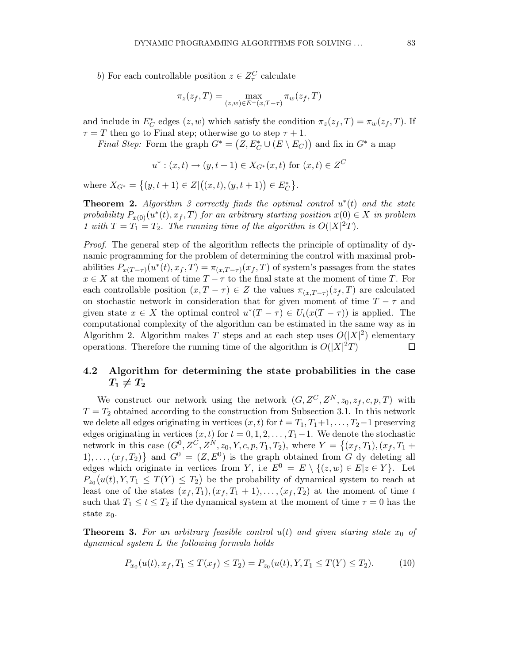b) For each controllable position  $z \in Z_{\tau}^C$  calculate

$$
\pi_z(z_f, T) = \max_{(z,w)\in E^+(x,T-\tau)} \pi_w(z_f, T)
$$

and include in  $E_C^*$  edges  $(z, w)$  which satisfy the condition  $\pi_z(z_f, T) = \pi_w(z_f, T)$ . If  $\tau = T$  then go to Final step; otherwise go to step  $\tau + 1$ .

*Final Step:* Form the graph  $G^* = (Z, E_C^* \cup (E \setminus E_C))$  and fix in  $G^*$  a map

$$
u^*: (x,t) \to (y,t+1) \in X_{G^*}(x,t)
$$
 for  $(x,t) \in Z^C$ 

where  $X_{G^*} = \{(y, t+1) \in Z | ((x, t), (y, t+1)) \in E_C^* \}.$ 

**Theorem 2.** Algorithm 3 correctly finds the optimal control  $u^*(t)$  and the state probability  $P_{x(0)}(u^*(t), x_f, T)$  for an arbitrary starting position  $x(0) \in X$  in problem 1 with  $T = T_1 = T_2$ . The running time of the algorithm is  $O(|X|^2T)$ .

Proof. The general step of the algorithm reflects the principle of optimality of dynamic programming for the problem of determining the control with maximal probabilities  $P_{x(T-\tau)}(u^*(t), x_f, T) = \pi_{(x, T-\tau)}(x_f, T)$  of system's passages from the states  $x \in X$  at the moment of time  $T - \tau$  to the final state at the moment of time T. For each controllable position  $(x, T - \tau) \in Z$  the values  $\pi_{(x, T-\tau)}(z_f, T)$  are calculated on stochastic network in consideration that for given moment of time  $T - \tau$  and given state  $x \in X$  the optimal control  $u^*(T - \tau) \in U_t(x(T - \tau))$  is applied. The computational complexity of the algorithm can be estimated in the same way as in Algorithm 2. Algorithm makes T steps and at each step uses  $O(|X|^2)$  elementary operations. Therefore the running time of the algorithm is  $O(|X|^2T)$  $\Box$ 

# 4.2 Algorithm for determining the state probabilities in the case  $T_1 \neq T_2$

We construct our network using the network  $(G, Z^C, Z^N, z_0, z_f, c, p, T)$  with  $T = T<sub>2</sub>$  obtained according to the construction from Subsection 3.1. In this network we delete all edges originating in vertices  $(x, t)$  for  $t = T_1, T_1+1, \ldots, T_2-1$  preserving edges originating in vertices  $(x, t)$  for  $t = 0, 1, 2, \ldots, T_1 - 1$ . We denote the stochastic network in this case  $(G^0, Z^C, Z^N, z_0, Y, c, p, T_1, T_2)$ , where  $Y = \{(x_f, T_1), (x_f, T_1 +$  $1), \ldots, (x_f, T_2)$  and  $G^0 = (Z, E^0)$  is the graph obtained from G dy deleting all edges which originate in vertices from Y, i.e  $E^0 = E \setminus \{(z, w) \in E | z \in Y\}$ . Let  $P_{z_0}(u(t), Y, T_1 \leq T(Y) \leq T_2)$  be the probability of dynamical system to reach at least one of the states  $(x_f, T_1), (x_f, T_1 + 1), \ldots, (x_f, T_2)$  at the moment of time t such that  $T_1 \le t \le T_2$  if the dynamical system at the moment of time  $\tau = 0$  has the state  $x_0$ .

**Theorem 3.** For an arbitrary feasible control  $u(t)$  and given staring state  $x_0$  of dynamical system L the following formula holds

$$
P_{x_0}(u(t), x_f, T_1 \le T(x_f) \le T_2) = P_{x_0}(u(t), Y, T_1 \le T(Y) \le T_2). \tag{10}
$$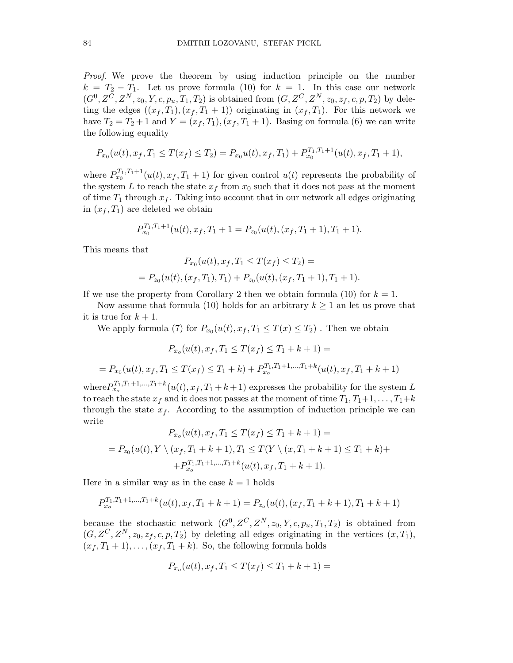Proof. We prove the theorem by using induction principle on the number  $k = T_2 - T_1$ . Let us prove formula (10) for  $k = 1$ . In this case our network  $(G^{0}, Z^{C}, Z^{N}, z_{0}, Y, c, p_{u}, T_{1}, T_{2})$  is obtained from  $(G, Z^{C}, Z^{N}, z_{0}, z_{f}, c, p, T_{2})$  by deleting the edges  $((x_f, T_1), (x_f, T_1 + 1))$  originating in  $(x_f, T_1)$ . For this network we have  $T_2 = T_2 + 1$  and  $Y = (x_f, T_1), (x_f, T_1 + 1)$ . Basing on formula (6) we can write the following equality

$$
P_{x_0}(u(t), x_f, T_1 \le T(x_f) \le T_2) = P_{x_0}u(t), x_f, T_1) + P_{x_0}^{T_1, T_1+1}(u(t), x_f, T_1+1),
$$

where  $P_{x_0}^{T_1,T_1+1}(u(t),x_f,T_1+1)$  for given control  $u(t)$  represents the probability of the system L to reach the state  $x_f$  from  $x_0$  such that it does not pass at the moment of time  $T_1$  through  $x_f$ . Taking into account that in our network all edges originating in  $(x_f, T_1)$  are deleted we obtain

$$
P_{x_0}^{T_1,T_1+1}(u(t),x_f,T_1+1) = P_{z_0}(u(t),(x_f,T_1+1),T_1+1).
$$

This means that

$$
P_{x_0}(u(t), x_f, T_1 \le T(x_f) \le T_2) =
$$
  
= 
$$
P_{z_0}(u(t), (x_f, T_1), T_1) + P_{z_0}(u(t), (x_f, T_1 + 1), T_1 + 1).
$$

If we use the property from Corollary 2 then we obtain formula (10) for  $k = 1$ .

Now assume that formula (10) holds for an arbitrary  $k \geq 1$  an let us prove that it is true for  $k + 1$ .

We apply formula (7) for  $P_{x_0}(u(t), x_f, T_1 \le T(x) \le T_2)$ . Then we obtain

$$
P_{x_o}(u(t), x_f, T_1 \le T(x_f) \le T_1 + k + 1) =
$$
\n
$$
= P_{x_0}(u(t), x_f, T_1 \le T(x_f) \le T_1 + k) + P_{x_o}^{T_1, T_1 + 1, \dots, T_1 + k}(u(t), x_f, T_1 + k + 1)
$$
\n
$$
= P_{x_0}^{T_1, T_1 + 1, \dots, T_1 + k}(u(t), x_f, T_1 + k + 1) \text{ expresses the probability for the system}
$$

where  $P_{x_o}^{I_1}$  $\int_{0}^{\kappa} (u(t), x_f, T_1 + k + 1)$  expresses the probability for the system L to reach the state  $x_f$  and it does not passes at the moment of time  $T_1, T_1+1, \ldots, T_1+k$ through the state  $x_f$ . According to the assumption of induction principle we can write

$$
P_{x_0}(u(t), x_f, T_1 \le T(x_f) \le T_1 + k + 1) =
$$
  
= 
$$
P_{z_0}(u(t), Y \setminus (x_f, T_1 + k + 1), T_1 \le T(Y \setminus (x, T_1 + k + 1) \le T_1 + k) +
$$
  
+ 
$$
P_{x_0}^{T_1, T_1 + 1, \dots, T_1 + k}(u(t), x_f, T_1 + k + 1).
$$

Here in a similar way as in the case  $k = 1$  holds

$$
P_{x_0}^{T_1,T_1+1,\ldots,T_1+k}(u(t),x_f,T_1+k+1)=P_{z_0}(u(t),(x_f,T_1+k+1),T_1+k+1)
$$

because the stochastic network  $(G^0, Z^C, Z^N, z_0, Y, c, p_u, T_1, T_2)$  is obtained from  $(G, Z^C, Z^N, z_0, z_f, c, p, T_2)$  by deleting all edges originating in the vertices  $(x, T_1)$ ,  $(x_f, T_1 + 1), \ldots, (x_f, T_1 + k)$ . So, the following formula holds

$$
P_{x_0}(u(t), x_f, T_1 \le T(x_f) \le T_1 + k + 1) =
$$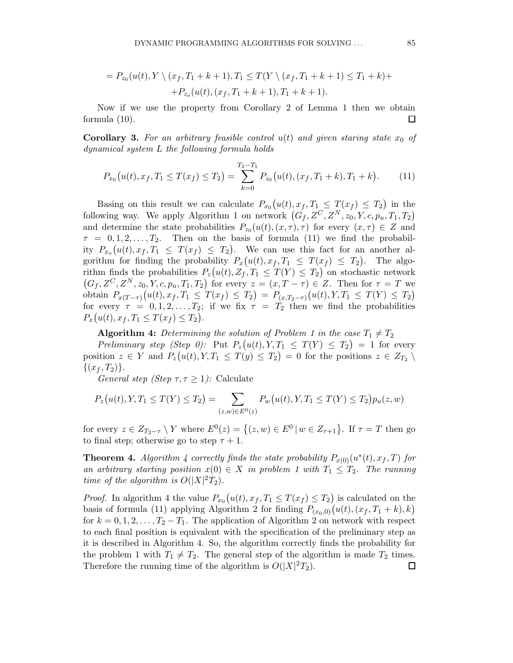$$
= P_{z_0}(u(t), Y \setminus (x_f, T_1 + k + 1), T_1 \le T(Y \setminus (x_f, T_1 + k + 1) \le T_1 + k) +
$$
  
+ 
$$
+ P_{z_0}(u(t), (x_f, T_1 + k + 1), T_1 + k + 1).
$$

Now if we use the property from Corollary 2 of Lemma 1 then we obtain formula (10). П

**Corollary 3.** For an arbitrary feasible control  $u(t)$  and given staring state  $x_0$  of dynamical system L the following formula holds

$$
P_{x_0}(u(t), x_f, T_1 \le T(x_f) \le T_2) = \sum_{k=0}^{T_2 - T_1} P_{z_0}(u(t), (x_f, T_1 + k), T_1 + k).
$$
 (11)

Basing on this result we can calculate  $P_{x_0}(u(t), x_f, T_1 \leq T(x_f) \leq T_2)$  in the following way. We apply Algorithm 1 on network  $(G_f, Z^C, Z^N, z_0, Y, c, p_u, T_1, T_2)$ and determine the state probabilities  $P_{z_0}(u(t), (x, \tau), \tau)$  for every  $(x, \tau) \in Z$  and  $\tau = 0, 1, 2, \ldots, T_2$ . Then on the basis of formula (11) we find the probability  $P_{x_0}(u(t), x_f, T_1 \leq T(x_f) \leq T_2)$ . We can use this fact for an another algorithm for finding the probability  $P_x(u(t), x_f, T_1 \leq T(x_f) \leq T_2)$ . The algorithm finds the probabilities  $P_z(u(t), Z_f, T_1 \leq T(Y) \leq T_2)$  on stochastic network  $(G_f, Z^C, Z^N, z_0, Y, c, p_u, T_1, T_2)$  for every  $z = (x, T - \tau) \in Z$ . Then for  $\tau = T$  we obtain  $P_{x(T-\tau)}(u(t), x_f, T_1 \leq T(x_f) \leq T_2) = P_{(x,T_2-\tau)}(u(t), Y, T_1 \leq T(Y) \leq T_2)$ for every  $\tau = 0, 1, 2, \ldots, T_2$ ; if we fix  $\tau = T_2$  then we find the probabilities  $P_x(u(t), x_f, T_1 \leq T(x_f) \leq T_2).$ 

**Algorithm 4:** Determining the solution of Problem 1 in the case  $T_1 \neq T_2$ 

Preliminary step (Step 0): Put  $P_z(u(t), Y, T_1 \leq T(Y) \leq T_2) = 1$  for every position  $z \in Y$  and  $P_z(u(t), Y, T_1 \le T(y) \le T_2) = 0$  for the positions  $z \in Z_{T_2} \setminus$  $\{(x_f, T_2)\}.$ 

General step (Step  $\tau, \tau \geq 1$ ): Calculate

$$
P_z(u(t), Y, T_1 \le T(Y) \le T_2) = \sum_{(z,w) \in E^0(z)} P_w(u(t), Y, T_1 \le T(Y) \le T_2) p_u(z, w)
$$

for every  $z \in Z_{T_2-\tau} \setminus Y$  where  $E^0(z) = \{(z,w) \in E^0 \mid w \in Z_{\tau+1}\}$ . If  $\tau = T$  then go to final step; otherwise go to step  $\tau + 1$ .

**Theorem 4.** Algorithm 4 correctly finds the state probability  $P_{x(0)}(u^*(t), x_f, T)$  for an arbitrary starting position  $x(0) \in X$  in problem 1 with  $T_1 \leq T_2$ . The running time of the algorithm is  $O(|X|^2T_2)$ .

*Proof.* In algorithm 4 the value  $P_{x_0}(u(t), x_f, T_1 \leq T(x_f) \leq T_2)$  is calculated on the basis of formula (11) applying Algorithm 2 for finding  $P_{(x_0,0)}(u(t), (x_f, T_1 + k), k)$ for  $k = 0, 1, 2, \ldots, T_2 - T_1$ . The application of Algorithm 2 on network with respect to each final position is equivalent with the specification of the preliminary step as it is described in Algorithm 4. So, the algorithm correctly finds the probability for the problem 1 with  $T_1 \neq T_2$ . The general step of the algorithm is made  $T_2$  times. Therefore the running time of the algorithm is  $O(|X|^2T_2)$ . 口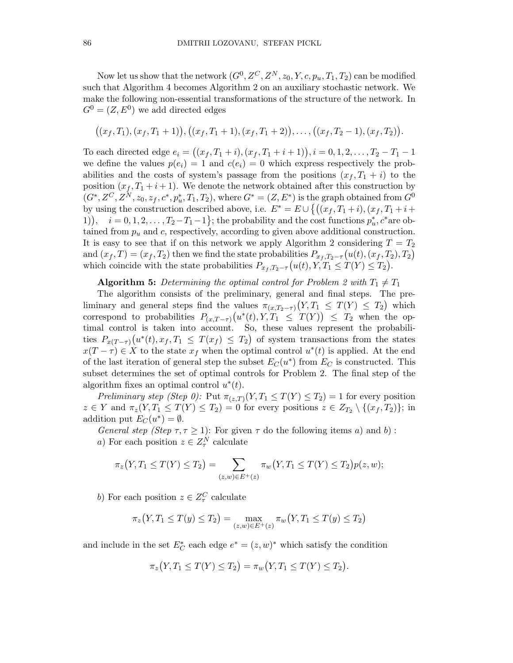Now let us show that the network  $(G^0, Z^C, Z^N, z_0, Y, c, p_u, T_1, T_2)$  can be modified such that Algorithm 4 becomes Algorithm 2 on an auxiliary stochastic network. We make the following non-essential transformations of the structure of the network. In  $G^0 = (Z, E^0)$  we add directed edges

$$
((x_f,T_1),(x_f,T_1+1)),((x_f,T_1+1),(x_f,T_1+2)),\ldots,((x_f,T_2-1),(x_f,T_2)).
$$

To each directed edge  $e_i = ((x_f, T_1 + i), (x_f, T_1 + i + 1)), i = 0, 1, 2, \ldots, T_2 - T_1 - 1$ we define the values  $p(e_i) = 1$  and  $c(e_i) = 0$  which express respectively the probabilities and the costs of system's passage from the positions  $(x_f, T_1 + i)$  to the position  $(x_f, T_1 + i + 1)$ . We denote the network obtained after this construction by  $(G^*, Z^C, Z^N, z_0, z_f, c^*, p_u^*, T_1, T_2)$ , where  $G^* = (Z, E^*)$  is the graph obtained from  $G^0$ by using the construction described above, i.e.  $E^* = E \cup \{((x_f, T_1 + i), (x_f, T_1 + i +$ 1),  $i = 0, 1, 2, \ldots, T_2 - T_1 - 1$ ; the probability and the cost functions  $p_u^*, c^*$  are obtained from  $p_u$  and c, respectively, according to given above additional construction. It is easy to see that if on this network we apply Algorithm 2 considering  $T = T_2$ and  $(x_f, T) = (x_f, T_2)$  then we find the state probabilities  $P_{x_f, T_2-\tau}(u(t), (x_f, T_2), T_2)$ which coincide with the state probabilities  $P_{x_f,T_2-\tau}(u(t), Y, T_1 \leq T(Y) \leq T_2)$ .

#### **Algorithm 5:** Determining the optimal control for Problem 2 with  $T_1 \neq T_1$

The algorithm consists of the preliminary, general and final steps. The preliminary and general steps find the values  $\pi_{(x,T_2-\tau)}(Y,T_1 \leq T(Y) \leq T_2)$  which correspond to probabilities  $P_{(x,T-\tau)}(u^*(t), Y, T_1 \leq T(Y)) \leq T_2$  when the optimal control is taken into account. So, these values represent the probabilities  $P_{x(T-\tau)}(u^*(t), x_f, T_1 \leq T(x_f) \leq T_2)$  of system transactions from the states  $x(T - \tau) \in X$  to the state  $x_f$  when the optimal control  $u^*(t)$  is applied. At the end of the last iteration of general step the subset  $E_C(u^*)$  from  $E_C$  is constructed. This subset determines the set of optimal controls for Problem 2. The final step of the algorithm fixes an optimal control  $u^*(t)$ .

Preliminary step (Step 0): Put  $\pi_{(z,T)}(Y,T_1 \leq T(Y) \leq T_2) = 1$  for every position  $z \in Y$  and  $\pi_z(Y, T_1 \leq T(Y) \leq T_2) = 0$  for every positions  $z \in Z_{T_2} \setminus \{(x_f, T_2)\};$  in addition put  $E_C(u^*) = \emptyset$ .

General step (Step  $\tau, \tau \geq 1$ ): For given  $\tau$  do the following items a) and b): a) For each position  $z \in Z_{\tau}^{N}$  calculate

$$
\pi_z(Y, T_1 \le T(Y) \le T_2) = \sum_{(z,w) \in E^+(z)} \pi_w(Y, T_1 \le T(Y) \le T_2)p(z, w);
$$

b) For each position  $z \in Z_{\tau}^C$  calculate

$$
\pi_z(Y, T_1 \le T(y) \le T_2) = \max_{(z,w) \in E^+(z)} \pi_w(Y, T_1 \le T(y) \le T_2)
$$

and include in the set  $E_C^*$  each edge  $e^* = (z, w)^*$  which satisfy the condition

$$
\pi_z(Y, T_1 \le T(Y) \le T_2) = \pi_w(Y, T_1 \le T(Y) \le T_2).
$$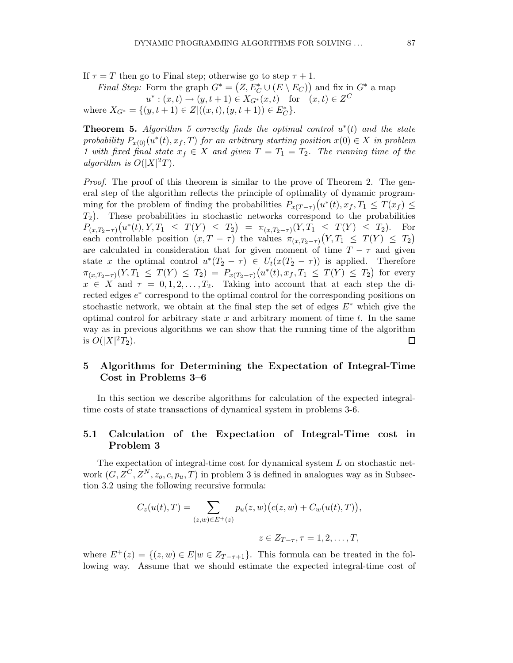If  $\tau = T$  then go to Final step; otherwise go to step  $\tau + 1$ .

*Final Step:* Form the graph  $G^* = (Z, E_C^* \cup (E \setminus E_C))$  and fix in  $G^*$  a map  $u^*: (x,t) \to (y,t+1) \in X_{G^*}(x,t) \text{ for } (x,t) \in Z^C$ where  $X_{G^*} = \{(y, t+1) \in Z | ((x, t), (y, t+1)) \in E_C^* \}.$ 

**Theorem 5.** Algorithm 5 correctly finds the optimal control  $u^*(t)$  and the state probability  $P_{x(0)}(u^*(t), x_f, T)$  for an arbitrary starting position  $x(0) \in X$  in problem 1 with fixed final state  $x_f \in X$  and given  $T = T_1 = T_2$ . The running time of the algorithm is  $O(|X|^2T)$ .

Proof. The proof of this theorem is similar to the prove of Theorem 2. The general step of the algorithm reflects the principle of optimality of dynamic programming for the problem of finding the probabilities  $P_{x(T-\tau)}(u^*(t), x_f, T_1 \leq T(x_f) \leq T(x_f)$  $T_2$ ). These probabilities in stochastic networks correspond to the probabilities  $P_{(x,T_2-\tau)}(u^*(t),Y,T_1 \leq T(Y) \leq T_2) = \pi_{(x,T_2-\tau)}(Y,T_1 \leq T(Y) \leq T_2).$  For each controllable position  $(x, T - \tau)$  the values  $\pi_{(x,T_2-\tau)}(Y, T_1 \leq T(Y) \leq T_2)$ are calculated in consideration that for given moment of time  $T - \tau$  and given state x the optimal control  $u^*(T_2 - \tau) \in U_t(x(T_2 - \tau))$  is applied. Therefore  $\pi_{(x,T_2-\tau)}(Y,T_1 \leq T(Y) \leq T_2) = P_{x(T_2-\tau)}(u^*(t),x_f,T_1 \leq T(Y) \leq T_2)$  for every  $x \in X$  and  $\tau = 0, 1, 2, \ldots, T_2$ . Taking into account that at each step the directed edges  $e^*$  correspond to the optimal control for the corresponding positions on stochastic network, we obtain at the final step the set of edges  $E^*$  which give the optimal control for arbitrary state  $x$  and arbitrary moment of time  $t$ . In the same way as in previous algorithms we can show that the running time of the algorithm is  $O(|X|^2T_2)$ . □

# 5 Algorithms for Determining the Expectation of Integral-Time Cost in Problems 3–6

In this section we describe algorithms for calculation of the expected integraltime costs of state transactions of dynamical system in problems 3-6.

# 5.1 Calculation of the Expectation of Integral-Time cost in Problem 3

The expectation of integral-time cost for dynamical system L on stochastic network  $(G, Z^C, Z^N, z_o, c, p_u, T)$  in problem 3 is defined in analogues way as in Subsection 3.2 using the following recursive formula:

$$
C_z(u(t),T) = \sum_{(z,w)\in E^+(z)} p_u(z,w) (c(z,w) + C_w(u(t),T)),
$$
  

$$
z \in Z_{T-\tau}, \tau = 1,2,\ldots,T,
$$

where  $E^+(z) = \{(z, w) \in E | w \in Z_{T-\tau+1}\}.$  This formula can be treated in the following way. Assume that we should estimate the expected integral-time cost of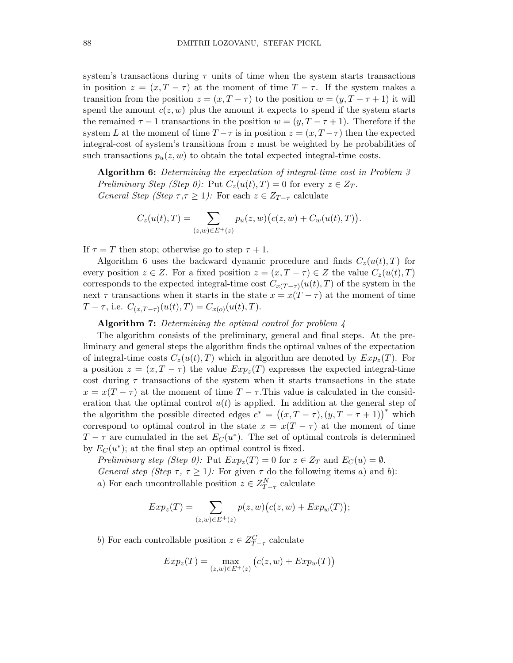system's transactions during  $\tau$  units of time when the system starts transactions in position  $z = (x, T - \tau)$  at the moment of time  $T - \tau$ . If the system makes a transition from the position  $z = (x, T - \tau)$  to the position  $w = (y, T - \tau + 1)$  it will spend the amount  $c(z, w)$  plus the amount it expects to spend if the system starts the remained  $\tau - 1$  transactions in the position  $w = (y, T - \tau + 1)$ . Therefore if the system L at the moment of time  $T - \tau$  is in position  $z = (x, T - \tau)$  then the expected integral-cost of system's transitions from  $z$  must be weighted by he probabilities of such transactions  $p_u(z, w)$  to obtain the total expected integral-time costs.

Algorithm 6: Determining the expectation of integral-time cost in Problem 3 Preliminary Step (Step 0): Put  $C_z(u(t),T) = 0$  for every  $z \in Z_T$ . General Step (Step  $\tau, \tau \geq 1$ ): For each  $z \in Z_{T-\tau}$  calculate

$$
C_z(u(t),T) = \sum_{(z,w)\in E^+(z)} p_u(z,w) (c(z,w) + C_w(u(t),T)).
$$

If  $\tau = T$  then stop; otherwise go to step  $\tau + 1$ .

Algorithm 6 uses the backward dynamic procedure and finds  $C_z(u(t), T)$  for every position  $z \in Z$ . For a fixed position  $z = (x, T - \tau) \in Z$  the value  $C_z(u(t), T)$ corresponds to the expected integral-time cost  $C_{x(T-\tau)}(u(t),T)$  of the system in the next  $\tau$  transactions when it starts in the state  $x = x(T - \tau)$  at the moment of time T –  $\tau$ , i.e.  $C_{(x,T-\tau)}(u(t),T) = C_{x(o)}(u(t),T)$ .

### **Algorithm 7:** Determining the optimal control for problem  $\lambda$

The algorithm consists of the preliminary, general and final steps. At the preliminary and general steps the algorithm finds the optimal values of the expectation of integral-time costs  $C_z(u(t), T)$  which in algorithm are denoted by  $Exp_z(T)$ . For a position  $z = (x, T - \tau)$  the value  $Exp_z(T)$  expresses the expected integral-time cost during  $\tau$  transactions of the system when it starts transactions in the state  $x = x(T - \tau)$  at the moment of time  $T - \tau$ . This value is calculated in the consideration that the optimal control  $u(t)$  is applied. In addition at the general step of the algorithm the possible directed edges  $e^* = ((x, T - \tau), (y, T - \tau + 1))^*$  which correspond to optimal control in the state  $x = x(T - \tau)$  at the moment of time  $T - \tau$  are cumulated in the set  $E_C(u^*)$ . The set of optimal controls is determined by  $E_C(u^*)$ ; at the final step an optimal control is fixed.

Preliminary step (Step 0): Put  $Exp_z(T) = 0$  for  $z \in Z_T$  and  $E_C(u) = \emptyset$ . General step (Step  $\tau$ ,  $\tau \geq 1$ ): For given  $\tau$  do the following items a) and b): a) For each uncontrollable position  $z \in Z_{T-\tau}^{N}$  calculate

$$
Exp_z(T) = \sum_{(z,w)\in E^+(z)} p(z,w) \big(c(z,w) + Exp_w(T)\big);
$$

b) For each controllable position  $z \in Z_{T-\tau}^C$  calculate

$$
Exp_z(T) = \max_{(z,w)\in E^+(z)} \left( c(z,w) + Exp_w(T) \right)
$$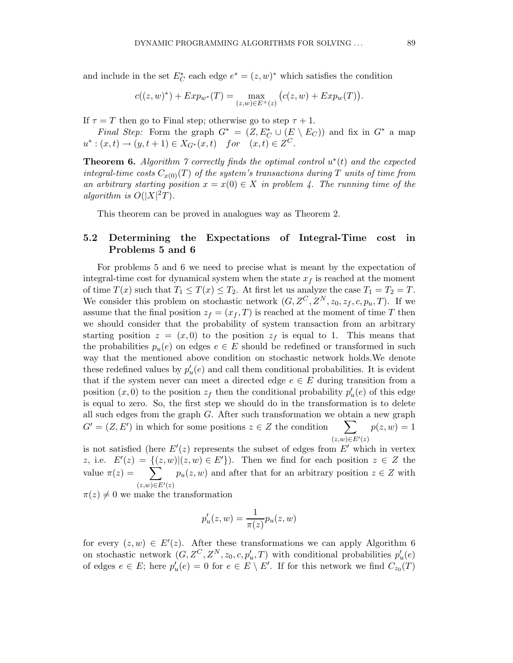and include in the set  $E_C^*$  each edge  $e^* = (z, w)^*$  which satisfies the condition

$$
c((z,w)^*) + Exp_{w^*}(T) = \max_{(z,w)\in E^+(z)} (c(z,w) + Exp_w(T)).
$$

If  $\tau = T$  then go to Final step; otherwise go to step  $\tau + 1$ .

Final Step: Form the graph  $G^* = (Z, E_C^* \cup (E \setminus E_C))$  and fix in  $G^*$  a map  $u^*: (x,t) \to (y,t+1) \in X_{G^*}(x,t)$  for  $(x,t) \in Z^C$ .

**Theorem 6.** Algorithm  $\gamma$  correctly finds the optimal control  $u^*(t)$  and the expected integral-time costs  $C_{x(0)}(T)$  of the system's transactions during T units of time from an arbitrary starting position  $x = x(0) \in X$  in problem 4. The running time of the algorithm is  $O(|X|^2T)$ .

This theorem can be proved in analogues way as Theorem 2.

### 5.2 Determining the Expectations of Integral-Time cost in Problems 5 and 6

For problems 5 and 6 we need to precise what is meant by the expectation of integral-time cost for dynamical system when the state  $x_f$  is reached at the moment of time  $T(x)$  such that  $T_1 \leq T(x) \leq T_2$ . At first let us analyze the case  $T_1 = T_2 = T$ . We consider this problem on stochastic network  $(G, Z^C, Z^N, z_0, z_f, c, p_u, T)$ . If we assume that the final position  $z_f = (x_f, T)$  is reached at the moment of time T then we should consider that the probability of system transaction from an arbitrary starting position  $z = (x, 0)$  to the position  $z_f$  is equal to 1. This means that the probabilities  $p_u(e)$  on edges  $e \in E$  should be redefined or transformed in such way that the mentioned above condition on stochastic network holds.We denote these redefined values by  $p'_{u}(e)$  and call them conditional probabilities. It is evident that if the system never can meet a directed edge  $e \in E$  during transition from a position  $(x, 0)$  to the position  $z_f$  then the conditional probability  $p'_u(e)$  of this edge is equal to zero. So, the first step we should do in the transformation is to delete all such edges from the graph  $G$ . After such transformation we obtain a new graph  $G' = (Z, E')$  in which for some positions  $z \in Z$  the condition  $\sum$  $(z,w) \in E'(z)$  $p(z, w) = 1$ 

is not satisfied (here  $E'(z)$  represents the subset of edges from  $E'$  which in vertex z, i.e.  $E'(z) = \{(z,w) | (z,w) \in E'\}$ . Then we find for each position  $z \in Z$  the value  $\pi(z) = \sum_{x} p_u(z, w)$  and after that for an arbitrary position  $z \in Z$  with  $\overline{(z,w)}\in E'(z)$ 

 $\pi(z) \neq 0$  we make the transformation

$$
p'_u(z, w) = \frac{1}{\pi(z)} p_u(z, w)
$$

for every  $(z, w) \in E'(z)$ . After these transformations we can apply Algorithm 6 on stochastic network  $(G, Z^C, Z^N, z_0, c, p'_u, T)$  with conditional probabilities  $p'_u(e)$ of edges  $e \in E$ ; here  $p'_u(e) = 0$  for  $e \in E \setminus E'$ . If for this network we find  $C_{z_0}(T)$